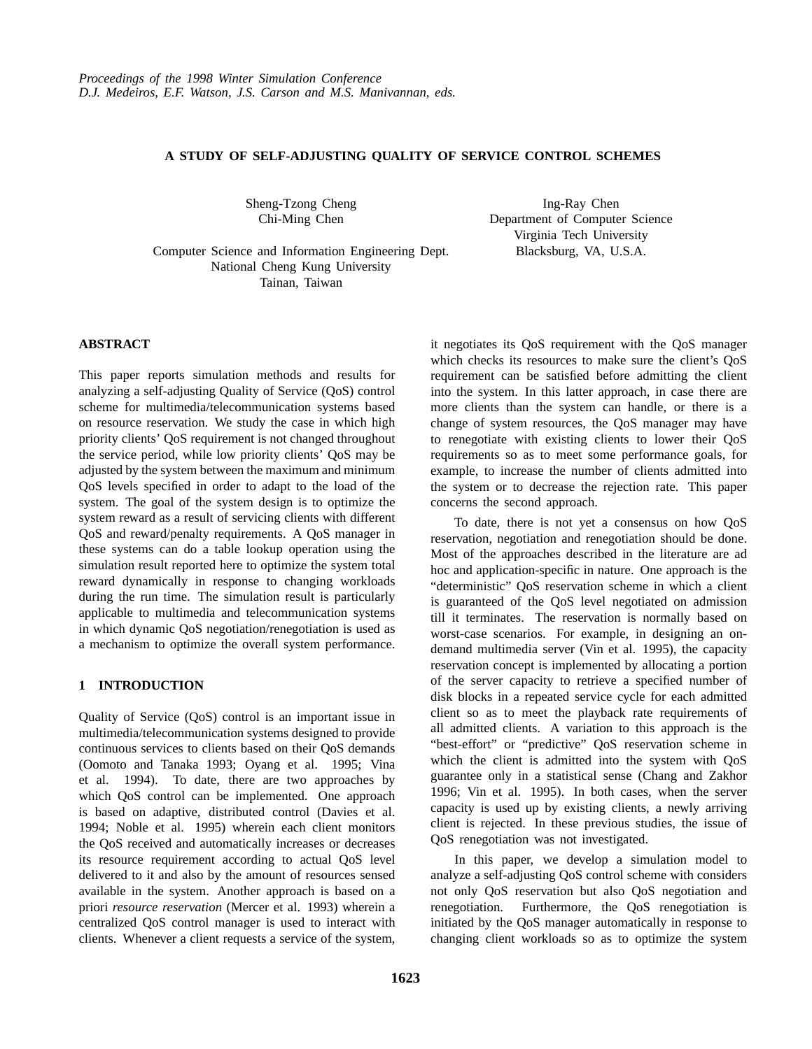# **A STUDY OF SELF-ADJUSTING QUALITY OF SERVICE CONTROL SCHEMES**

Sheng-Tzong Cheng Chi-Ming Chen

Ing-Ray Chen Department of Computer Science Virginia Tech University Blacksburg, VA, U.S.A.

Computer Science and Information Engineering Dept. National Cheng Kung University Tainan, Taiwan

#### **ABSTRACT**

This paper reports simulation methods and results for analyzing a self-adjusting Quality of Service (QoS) control scheme for multimedia/telecommunication systems based on resource reservation. We study the case in which high priority clients' QoS requirement is not changed throughout the service period, while low priority clients' QoS may be adjusted by the system between the maximum and minimum QoS levels specified in order to adapt to the load of the system. The goal of the system design is to optimize the system reward as a result of servicing clients with different QoS and reward/penalty requirements. A QoS manager in these systems can do a table lookup operation using the simulation result reported here to optimize the system total reward dynamically in response to changing workloads during the run time. The simulation result is particularly applicable to multimedia and telecommunication systems in which dynamic QoS negotiation/renegotiation is used as a mechanism to optimize the overall system performance.

## **1 INTRODUCTION**

Quality of Service (QoS) control is an important issue in multimedia/telecommunication systems designed to provide continuous services to clients based on their QoS demands (Oomoto and Tanaka 1993; Oyang et al. 1995; Vina et al. 1994). To date, there are two approaches by which QoS control can be implemented. One approach is based on adaptive, distributed control (Davies et al. 1994; Noble et al. 1995) wherein each client monitors the QoS received and automatically increases or decreases its resource requirement according to actual QoS level delivered to it and also by the amount of resources sensed available in the system. Another approach is based on a priori *resource reservation* (Mercer et al. 1993) wherein a centralized QoS control manager is used to interact with clients. Whenever a client requests a service of the system,

it negotiates its QoS requirement with the QoS manager which checks its resources to make sure the client's QoS requirement can be satisfied before admitting the client into the system. In this latter approach, in case there are more clients than the system can handle, or there is a change of system resources, the QoS manager may have to renegotiate with existing clients to lower their QoS requirements so as to meet some performance goals, for example, to increase the number of clients admitted into the system or to decrease the rejection rate. This paper concerns the second approach.

To date, there is not yet a consensus on how QoS reservation, negotiation and renegotiation should be done. Most of the approaches described in the literature are ad hoc and application-specific in nature. One approach is the "deterministic" QoS reservation scheme in which a client is guaranteed of the QoS level negotiated on admission till it terminates. The reservation is normally based on worst-case scenarios. For example, in designing an ondemand multimedia server (Vin et al. 1995), the capacity reservation concept is implemented by allocating a portion of the server capacity to retrieve a specified number of disk blocks in a repeated service cycle for each admitted client so as to meet the playback rate requirements of all admitted clients. A variation to this approach is the "best-effort" or "predictive" QoS reservation scheme in which the client is admitted into the system with QoS guarantee only in a statistical sense (Chang and Zakhor 1996; Vin et al. 1995). In both cases, when the server capacity is used up by existing clients, a newly arriving client is rejected. In these previous studies, the issue of QoS renegotiation was not investigated.

In this paper, we develop a simulation model to analyze a self-adjusting QoS control scheme with considers not only QoS reservation but also QoS negotiation and renegotiation. Furthermore, the QoS renegotiation is initiated by the QoS manager automatically in response to changing client workloads so as to optimize the system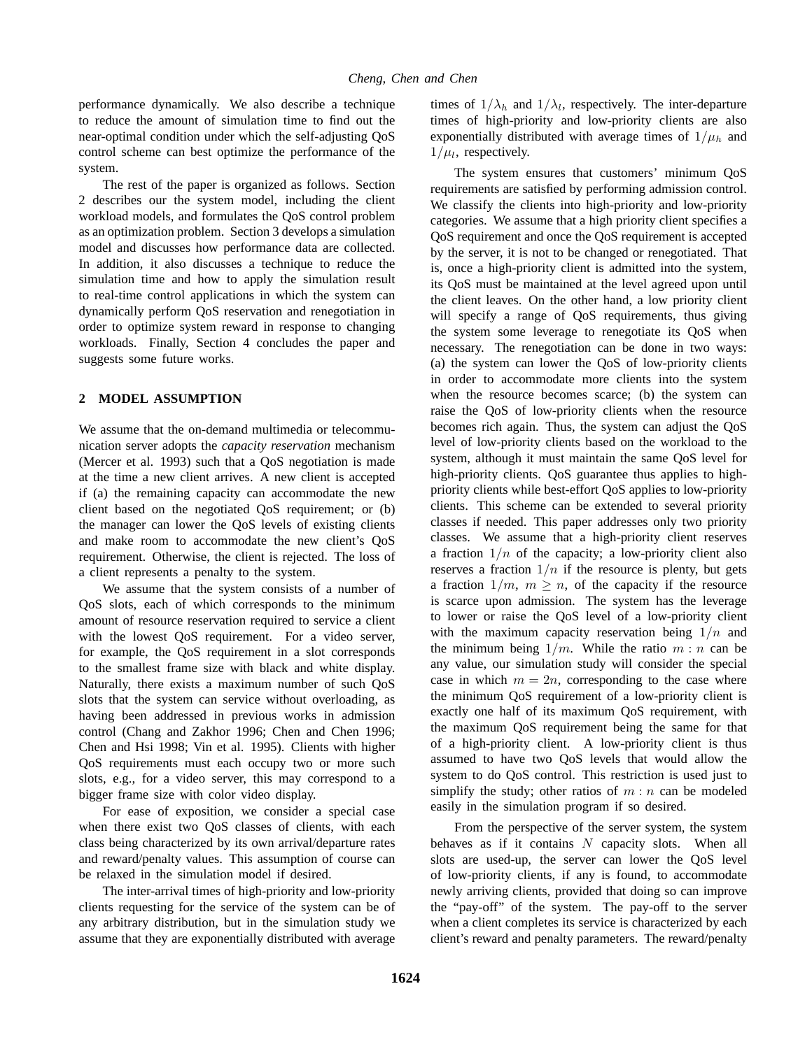performance dynamically. We also describe a technique to reduce the amount of simulation time to find out the near-optimal condition under which the self-adjusting QoS control scheme can best optimize the performance of the system.

The rest of the paper is organized as follows. Section 2 describes our the system model, including the client workload models, and formulates the QoS control problem as an optimization problem. Section 3 develops a simulation model and discusses how performance data are collected. In addition, it also discusses a technique to reduce the simulation time and how to apply the simulation result to real-time control applications in which the system can dynamically perform QoS reservation and renegotiation in order to optimize system reward in response to changing workloads. Finally, Section 4 concludes the paper and suggests some future works.

# **2 MODEL ASSUMPTION**

We assume that the on-demand multimedia or telecommunication server adopts the *capacity reservation* mechanism (Mercer et al. 1993) such that a QoS negotiation is made at the time a new client arrives. A new client is accepted if (a) the remaining capacity can accommodate the new client based on the negotiated QoS requirement; or (b) the manager can lower the QoS levels of existing clients and make room to accommodate the new client's QoS requirement. Otherwise, the client is rejected. The loss of a client represents a penalty to the system.

We assume that the system consists of a number of QoS slots, each of which corresponds to the minimum amount of resource reservation required to service a client with the lowest QoS requirement. For a video server, for example, the QoS requirement in a slot corresponds to the smallest frame size with black and white display. Naturally, there exists a maximum number of such QoS slots that the system can service without overloading, as having been addressed in previous works in admission control (Chang and Zakhor 1996; Chen and Chen 1996; Chen and Hsi 1998; Vin et al. 1995). Clients with higher QoS requirements must each occupy two or more such slots, e.g., for a video server, this may correspond to a bigger frame size with color video display.

For ease of exposition, we consider a special case when there exist two QoS classes of clients, with each class being characterized by its own arrival/departure rates and reward/penalty values. This assumption of course can be relaxed in the simulation model if desired.

The inter-arrival times of high-priority and low-priority clients requesting for the service of the system can be of any arbitrary distribution, but in the simulation study we assume that they are exponentially distributed with average

times of  $1/\lambda_h$  and  $1/\lambda_l$ , respectively. The inter-departure times of high-priority and low-priority clients are also exponentially distributed with average times of  $1/\mu_h$  and  $1/\mu_l$ , respectively.

The system ensures that customers' minimum QoS requirements are satisfied by performing admission control. We classify the clients into high-priority and low-priority categories. We assume that a high priority client specifies a QoS requirement and once the QoS requirement is accepted by the server, it is not to be changed or renegotiated. That is, once a high-priority client is admitted into the system, its QoS must be maintained at the level agreed upon until the client leaves. On the other hand, a low priority client will specify a range of QoS requirements, thus giving the system some leverage to renegotiate its QoS when necessary. The renegotiation can be done in two ways: (a) the system can lower the QoS of low-priority clients in order to accommodate more clients into the system when the resource becomes scarce; (b) the system can raise the QoS of low-priority clients when the resource becomes rich again. Thus, the system can adjust the QoS level of low-priority clients based on the workload to the system, although it must maintain the same QoS level for high-priority clients. QoS guarantee thus applies to highpriority clients while best-effort QoS applies to low-priority clients. This scheme can be extended to several priority classes if needed. This paper addresses only two priority classes. We assume that a high-priority client reserves a fraction  $1/n$  of the capacity; a low-priority client also reserves a fraction  $1/n$  if the resource is plenty, but gets a fraction  $1/m$ ,  $m \geq n$ , of the capacity if the resource is scarce upon admission. The system has the leverage to lower or raise the QoS level of a low-priority client with the maximum capacity reservation being  $1/n$  and the minimum being  $1/m$ . While the ratio  $m : n$  can be any value, our simulation study will consider the special case in which  $m = 2n$ , corresponding to the case where the minimum QoS requirement of a low-priority client is exactly one half of its maximum QoS requirement, with the maximum QoS requirement being the same for that of a high-priority client. A low-priority client is thus assumed to have two QoS levels that would allow the system to do QoS control. This restriction is used just to simplify the study; other ratios of  $m : n$  can be modeled easily in the simulation program if so desired.

From the perspective of the server system, the system behaves as if it contains  $N$  capacity slots. When all slots are used-up, the server can lower the QoS level of low-priority clients, if any is found, to accommodate newly arriving clients, provided that doing so can improve the "pay-off" of the system. The pay-off to the server when a client completes its service is characterized by each client's reward and penalty parameters. The reward/penalty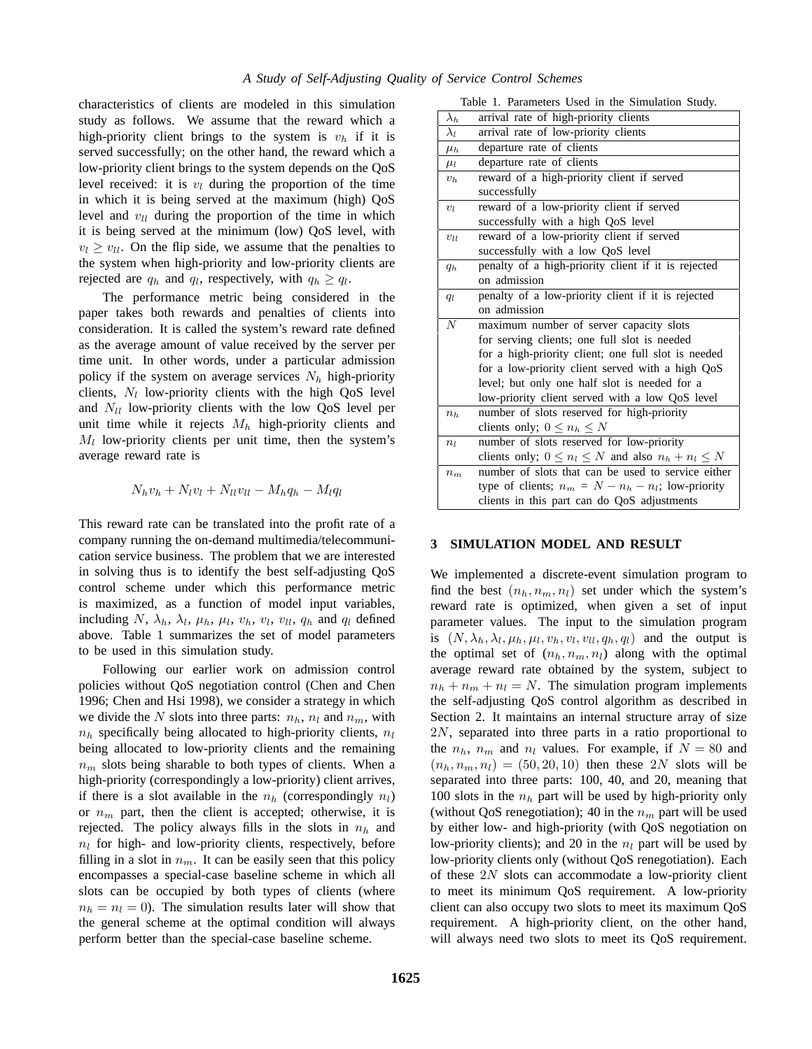characteristics of clients are modeled in this simulation study as follows. We assume that the reward which a high-priority client brings to the system is  $v_h$  if it is served successfully; on the other hand, the reward which a low-priority client brings to the system depends on the QoS level received: it is  $v_l$  during the proportion of the time in which it is being served at the maximum (high) QoS level and  $v_{ll}$  during the proportion of the time in which it is being served at the minimum (low) QoS level, with  $v_l \ge v_{ll}$ . On the flip side, we assume that the penalties to the system when high-priority and low-priority clients are rejected are  $q_h$  and  $q_l$ , respectively, with  $q_h \ge q_l$ .

The performance metric being considered in the paper takes both rewards and penalties of clients into consideration. It is called the system's reward rate defined as the average amount of value received by the server per time unit. In other words, under a particular admission policy if the system on average services  $N_h$  high-priority clients,  $N_l$  low-priority clients with the high QoS level and  $N_{ll}$  low-priority clients with the low QoS level per unit time while it rejects  $M_h$  high-priority clients and  $M_l$  low-priority clients per unit time, then the system's average reward rate is

$$
N_h v_h + N_l v_l + N_{ll} v_{ll} - M_h q_h - M_l q_l
$$

This reward rate can be translated into the profit rate of a company running the on-demand multimedia/telecommunication service business. The problem that we are interested in solving thus is to identify the best self-adjusting QoS control scheme under which this performance metric is maximized, as a function of model input variables, including N,  $\lambda_h$ ,  $\lambda_l$ ,  $\mu_h$ ,  $\mu_l$ ,  $v_h$ ,  $v_l$ ,  $v_{ll}$ ,  $q_h$  and  $q_l$  defined above. Table 1 summarizes the set of model parameters to be used in this simulation study.

Following our earlier work on admission control policies without QoS negotiation control (Chen and Chen 1996; Chen and Hsi 1998), we consider a strategy in which we divide the N slots into three parts:  $n_h$ ,  $n_l$  and  $n_m$ , with  $n_h$  specifically being allocated to high-priority clients,  $n_l$ being allocated to low-priority clients and the remaining  $n_m$  slots being sharable to both types of clients. When a high-priority (correspondingly a low-priority) client arrives, if there is a slot available in the  $n_h$  (correspondingly  $n_l$ ) or  $n_m$  part, then the client is accepted; otherwise, it is rejected. The policy always fills in the slots in  $n_h$  and  $n_l$  for high- and low-priority clients, respectively, before filling in a slot in  $n_m$ . It can be easily seen that this policy encompasses a special-case baseline scheme in which all slots can be occupied by both types of clients (where  $n_h = n_l = 0$ . The simulation results later will show that the general scheme at the optimal condition will always perform better than the special-case baseline scheme.

| Table 1. Parameters Used in the Simulation Study. |  |  |  |  |
|---------------------------------------------------|--|--|--|--|
|---------------------------------------------------|--|--|--|--|

|                | Table 1. Parameters Used in the Simulation Study.          |
|----------------|------------------------------------------------------------|
| $\lambda_h$    | arrival rate of high-priority clients                      |
| $\lambda_l$    | arrival rate of low-priority clients                       |
| $\mu_h$        | departure rate of clients                                  |
| $\mu_l$        | departure rate of clients                                  |
| $v_h$          | reward of a high-priority client if served                 |
|                | successfully                                               |
| $v_l$          | reward of a low-priority client if served                  |
|                | successfully with a high QoS level                         |
| $v_{ll}$       | reward of a low-priority client if served                  |
|                | successfully with a low QoS level                          |
| $q_h$          | penalty of a high-priority client if it is rejected        |
|                | on admission                                               |
| $q_l$          | penalty of a low-priority client if it is rejected         |
|                | on admission                                               |
| $\overline{N}$ | maximum number of server capacity slots                    |
|                | for serving clients; one full slot is needed               |
|                | for a high-priority client; one full slot is needed        |
|                | for a low-priority client served with a high QoS           |
|                | level; but only one half slot is needed for a              |
|                | low-priority client served with a low QoS level            |
| $n_h$          | number of slots reserved for high-priority                 |
|                | clients only; $0 \le n_h \le N$                            |
| $n_l$          | number of slots reserved for low-priority                  |
|                | clients only; $0 \le n_l \le N$ and also $n_h + n_l \le N$ |
| $n_m$          | number of slots that can be used to service either         |
|                | type of clients; $n_m = N - n_h - n_l$ ; low-priority      |
|                | clients in this part can do QoS adjustments                |

#### **3 SIMULATION MODEL AND RESULT**

We implemented a discrete-event simulation program to find the best  $(n_h, n_m, n_l)$  set under which the system's reward rate is optimized, when given a set of input parameter values. The input to the simulation program is  $(N, \lambda_h, \lambda_l, \mu_h, \mu_l, v_h, v_l, v_l, q_h, q_l)$  and the output is the optimal set of  $(n_h, n_m, n_l)$  along with the optimal average reward rate obtained by the system, subject to  $n_h + n_m + n_l = N$ . The simulation program implements the self-adjusting QoS control algorithm as described in Section 2. It maintains an internal structure array of size  $2N$ , separated into three parts in a ratio proportional to the  $n_h$ ,  $n_m$  and  $n_l$  values. For example, if  $N = 80$  and  $(n_h, n_m, n_l) = (50, 20, 10)$  then these 2N slots will be separated into three parts: 100, 40, and 20, meaning that 100 slots in the  $n_h$  part will be used by high-priority only (without QoS renegotiation); 40 in the  $n_m$  part will be used by either low- and high-priority (with QoS negotiation on low-priority clients); and 20 in the  $n_l$  part will be used by low-priority clients only (without QoS renegotiation). Each of these 2N slots can accommodate a low-priority client to meet its minimum QoS requirement. A low-priority client can also occupy two slots to meet its maximum QoS requirement. A high-priority client, on the other hand, will always need two slots to meet its QoS requirement.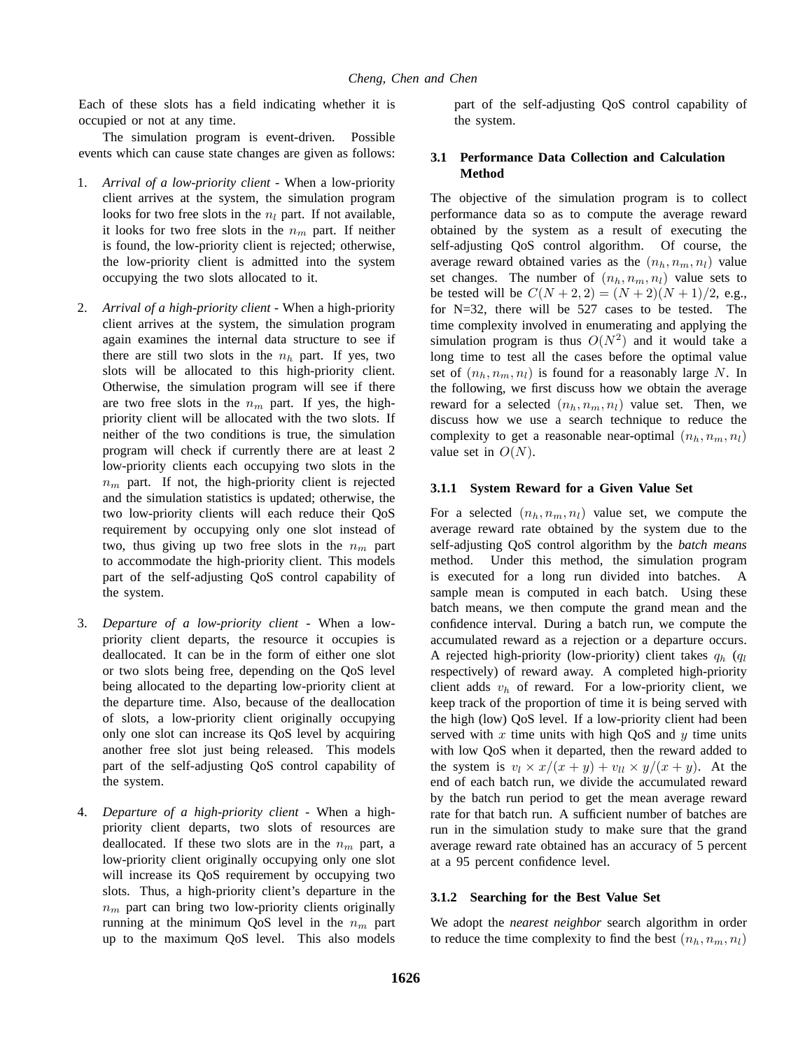Each of these slots has a field indicating whether it is occupied or not at any time.

The simulation program is event-driven. Possible events which can cause state changes are given as follows:

- 1. *Arrival of a low-priority client* When a low-priority client arrives at the system, the simulation program looks for two free slots in the  $n_l$  part. If not available, it looks for two free slots in the  $n_m$  part. If neither is found, the low-priority client is rejected; otherwise, the low-priority client is admitted into the system occupying the two slots allocated to it.
- 2. *Arrival of a high-priority client* When a high-priority client arrives at the system, the simulation program again examines the internal data structure to see if there are still two slots in the  $n_h$  part. If yes, two slots will be allocated to this high-priority client. Otherwise, the simulation program will see if there are two free slots in the  $n_m$  part. If yes, the highpriority client will be allocated with the two slots. If neither of the two conditions is true, the simulation program will check if currently there are at least 2 low-priority clients each occupying two slots in the  $n_m$  part. If not, the high-priority client is rejected and the simulation statistics is updated; otherwise, the two low-priority clients will each reduce their QoS requirement by occupying only one slot instead of two, thus giving up two free slots in the  $n_m$  part to accommodate the high-priority client. This models part of the self-adjusting QoS control capability of the system.
- 3. *Departure of a low-priority client* When a lowpriority client departs, the resource it occupies is deallocated. It can be in the form of either one slot or two slots being free, depending on the QoS level being allocated to the departing low-priority client at the departure time. Also, because of the deallocation of slots, a low-priority client originally occupying only one slot can increase its QoS level by acquiring another free slot just being released. This models part of the self-adjusting QoS control capability of the system.
- 4. *Departure of a high-priority client* When a highpriority client departs, two slots of resources are deallocated. If these two slots are in the  $n_m$  part, a low-priority client originally occupying only one slot will increase its QoS requirement by occupying two slots. Thus, a high-priority client's departure in the  $n_m$  part can bring two low-priority clients originally running at the minimum QoS level in the  $n_m$  part up to the maximum QoS level. This also models

part of the self-adjusting QoS control capability of the system.

# **3.1 Performance Data Collection and Calculation Method**

The objective of the simulation program is to collect performance data so as to compute the average reward obtained by the system as a result of executing the self-adjusting QoS control algorithm. Of course, the average reward obtained varies as the  $(n_h, n_m, n_l)$  value set changes. The number of  $(n_h, n_m, n_l)$  value sets to be tested will be  $C(N+2, 2) = (N+2)(N+1)/2$ , e.g., for N=32, there will be 527 cases to be tested. The time complexity involved in enumerating and applying the simulation program is thus  $O(N^2)$  and it would take a long time to test all the cases before the optimal value set of  $(n_h, n_m, n_l)$  is found for a reasonably large N. In the following, we first discuss how we obtain the average reward for a selected  $(n_h, n_m, n_l)$  value set. Then, we discuss how we use a search technique to reduce the complexity to get a reasonable near-optimal  $(n_h, n_m, n_l)$ value set in  $O(N)$ .

## **3.1.1 System Reward for a Given Value Set**

For a selected  $(n_h, n_m, n_l)$  value set, we compute the average reward rate obtained by the system due to the self-adjusting QoS control algorithm by the *batch means* method. Under this method, the simulation program is executed for a long run divided into batches. A sample mean is computed in each batch. Using these batch means, we then compute the grand mean and the confidence interval. During a batch run, we compute the accumulated reward as a rejection or a departure occurs. A rejected high-priority (low-priority) client takes  $q_h$  ( $q_l$ ) respectively) of reward away. A completed high-priority client adds  $v_h$  of reward. For a low-priority client, we keep track of the proportion of time it is being served with the high (low) QoS level. If a low-priority client had been served with  $x$  time units with high QoS and  $y$  time units with low QoS when it departed, then the reward added to the system is  $v_l \times x/(x + y) + v_{ll} \times y/(x + y)$ . At the end of each batch run, we divide the accumulated reward by the batch run period to get the mean average reward rate for that batch run. A sufficient number of batches are run in the simulation study to make sure that the grand average reward rate obtained has an accuracy of 5 percent at a 95 percent confidence level.

### **3.1.2 Searching for the Best Value Set**

We adopt the *nearest neighbor* search algorithm in order to reduce the time complexity to find the best  $(n_h, n_m, n_l)$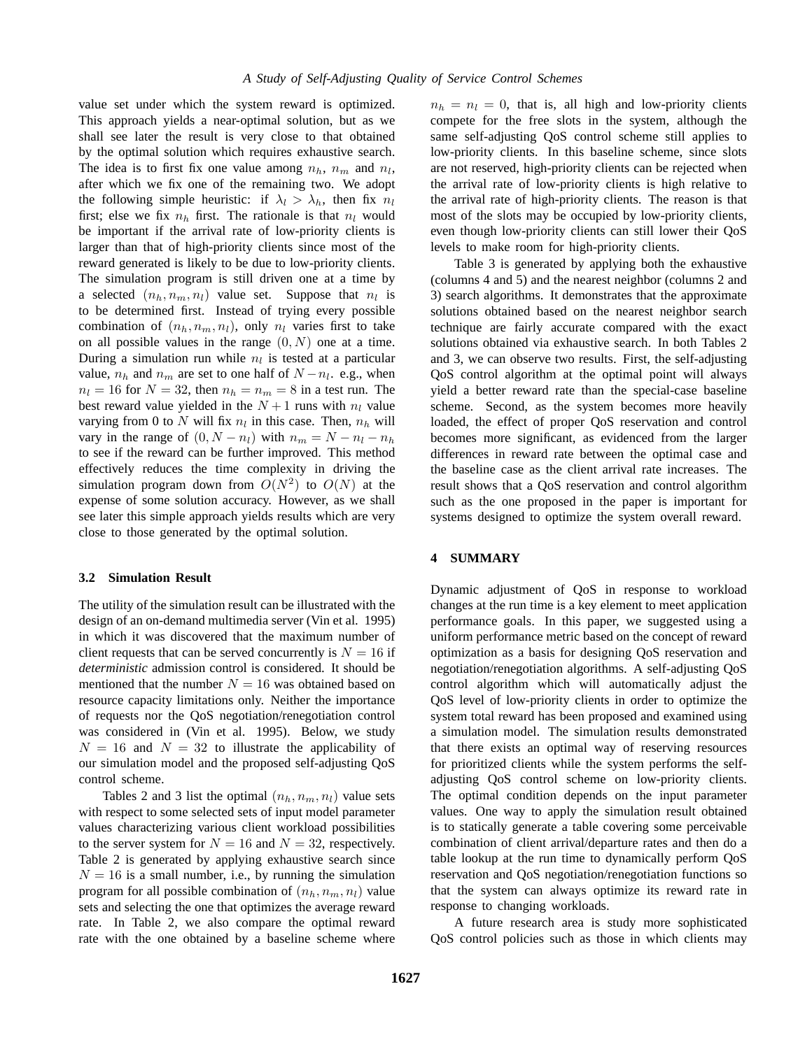value set under which the system reward is optimized. This approach yields a near-optimal solution, but as we shall see later the result is very close to that obtained by the optimal solution which requires exhaustive search. The idea is to first fix one value among  $n_h$ ,  $n_m$  and  $n_l$ , after which we fix one of the remaining two. We adopt the following simple heuristic: if  $\lambda_l > \lambda_h$ , then fix  $n_l$ first; else we fix  $n_h$  first. The rationale is that  $n_l$  would be important if the arrival rate of low-priority clients is larger than that of high-priority clients since most of the reward generated is likely to be due to low-priority clients. The simulation program is still driven one at a time by a selected  $(n_h, n_m, n_l)$  value set. Suppose that  $n_l$  is to be determined first. Instead of trying every possible combination of  $(n_h, n_m, n_l)$ , only  $n_l$  varies first to take on all possible values in the range  $(0, N)$  one at a time. During a simulation run while  $n_l$  is tested at a particular value,  $n_h$  and  $n_m$  are set to one half of  $N - n_l$ . e.g., when  $n_l = 16$  for  $N = 32$ , then  $n_h = n_m = 8$  in a test run. The best reward value yielded in the  $N+1$  runs with  $n_l$  value varying from 0 to N will fix  $n_l$  in this case. Then,  $n_h$  will vary in the range of  $(0, N - n_l)$  with  $n_m = N - n_l - n_h$ to see if the reward can be further improved. This method effectively reduces the time complexity in driving the simulation program down from  $O(N^2)$  to  $O(N)$  at the expense of some solution accuracy. However, as we shall see later this simple approach yields results which are very close to those generated by the optimal solution.

## **3.2 Simulation Result**

The utility of the simulation result can be illustrated with the design of an on-demand multimedia server (Vin et al. 1995) in which it was discovered that the maximum number of client requests that can be served concurrently is  $N = 16$  if *deterministic* admission control is considered. It should be mentioned that the number  $N = 16$  was obtained based on resource capacity limitations only. Neither the importance of requests nor the QoS negotiation/renegotiation control was considered in (Vin et al. 1995). Below, we study  $N = 16$  and  $N = 32$  to illustrate the applicability of our simulation model and the proposed self-adjusting QoS control scheme.

Tables 2 and 3 list the optimal  $(n_h, n_m, n_l)$  value sets with respect to some selected sets of input model parameter values characterizing various client workload possibilities to the server system for  $N = 16$  and  $N = 32$ , respectively. Table 2 is generated by applying exhaustive search since  $N = 16$  is a small number, i.e., by running the simulation program for all possible combination of  $(n_h, n_m, n_l)$  value sets and selecting the one that optimizes the average reward rate. In Table 2, we also compare the optimal reward rate with the one obtained by a baseline scheme where  $n_h = n_l = 0$ , that is, all high and low-priority clients compete for the free slots in the system, although the same self-adjusting QoS control scheme still applies to low-priority clients. In this baseline scheme, since slots are not reserved, high-priority clients can be rejected when the arrival rate of low-priority clients is high relative to the arrival rate of high-priority clients. The reason is that most of the slots may be occupied by low-priority clients, even though low-priority clients can still lower their QoS levels to make room for high-priority clients.

Table 3 is generated by applying both the exhaustive (columns 4 and 5) and the nearest neighbor (columns 2 and 3) search algorithms. It demonstrates that the approximate solutions obtained based on the nearest neighbor search technique are fairly accurate compared with the exact solutions obtained via exhaustive search. In both Tables 2 and 3, we can observe two results. First, the self-adjusting QoS control algorithm at the optimal point will always yield a better reward rate than the special-case baseline scheme. Second, as the system becomes more heavily loaded, the effect of proper QoS reservation and control becomes more significant, as evidenced from the larger differences in reward rate between the optimal case and the baseline case as the client arrival rate increases. The result shows that a QoS reservation and control algorithm such as the one proposed in the paper is important for systems designed to optimize the system overall reward.

### **4 SUMMARY**

Dynamic adjustment of QoS in response to workload changes at the run time is a key element to meet application performance goals. In this paper, we suggested using a uniform performance metric based on the concept of reward optimization as a basis for designing QoS reservation and negotiation/renegotiation algorithms. A self-adjusting QoS control algorithm which will automatically adjust the QoS level of low-priority clients in order to optimize the system total reward has been proposed and examined using a simulation model. The simulation results demonstrated that there exists an optimal way of reserving resources for prioritized clients while the system performs the selfadjusting QoS control scheme on low-priority clients. The optimal condition depends on the input parameter values. One way to apply the simulation result obtained is to statically generate a table covering some perceivable combination of client arrival/departure rates and then do a table lookup at the run time to dynamically perform QoS reservation and QoS negotiation/renegotiation functions so that the system can always optimize its reward rate in response to changing workloads.

A future research area is study more sophisticated QoS control policies such as those in which clients may